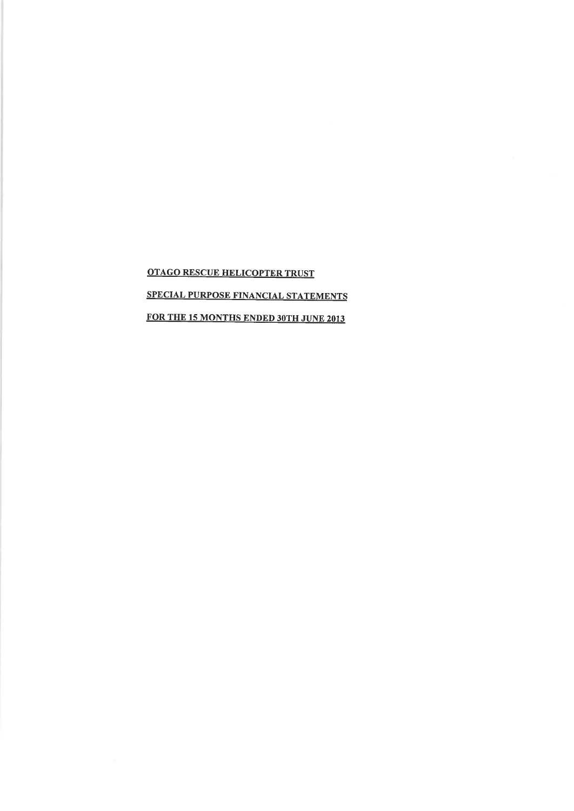OTAGO RESCUE HELICOPTER TRUST SPECIAL PURPOSE FINANCIAL STATEMENTS FOR THE 15 MONTHS ENDED 30TH JUNE 2013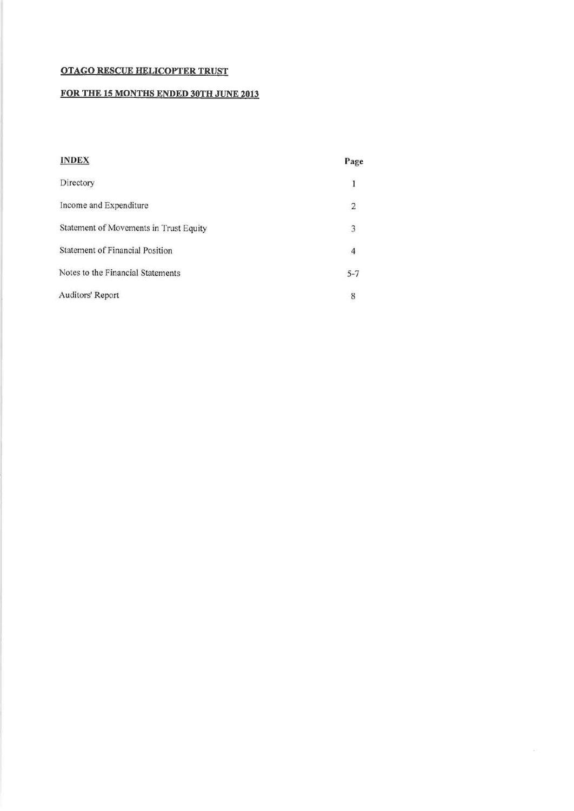# FOR THE 15 MONTHS ENDED 30TH JUNE 2013

| <b>INDEX</b>                           | Page           |
|----------------------------------------|----------------|
| Directory                              | $\mathbf{I}$   |
| Income and Expenditure                 | $\overline{2}$ |
| Statement of Movements in Trust Equity | 3              |
| Statement of Financial Position        | 4              |
| Notes to the Financial Statements      | $5 - 7$        |
| Auditors' Report                       | 8              |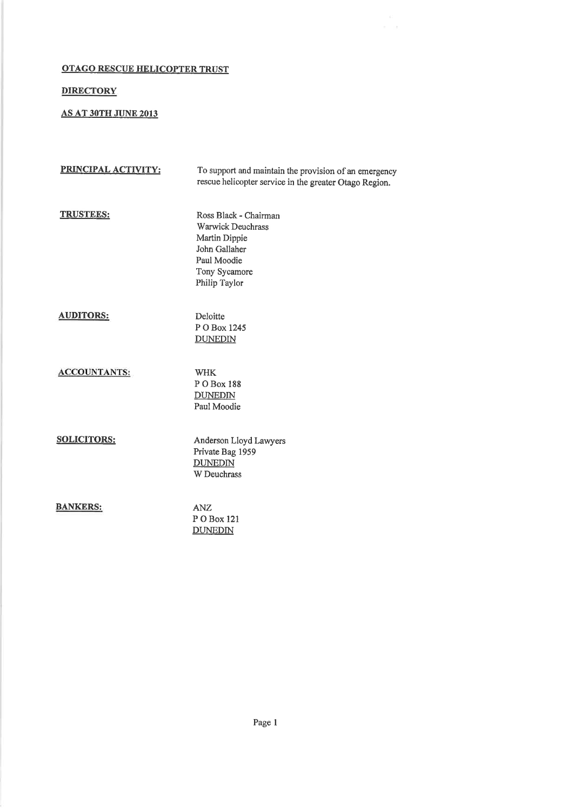# **DIRECTORY**

# AS AT 3OTH JUNE 2013

| PRINCIPAL ACTIVITY: | To support and maintain the provision of an emergency<br>rescue helicopter service in the greater Otago Region.                      |
|---------------------|--------------------------------------------------------------------------------------------------------------------------------------|
| <b>TRUSTEES:</b>    | Ross Black - Chairman<br><b>Warwick Deuchrass</b><br>Martin Dippie<br>John Gallaher<br>Paul Moodie<br>Tony Sycamore<br>Philip Taylor |
| <b>AUDITORS:</b>    | Deloitte<br>P O Box 1245<br><b>DUNEDIN</b>                                                                                           |
| <b>ACCOUNTANTS:</b> | <b>WHK</b><br>P O Box 188<br><b>DUNEDIN</b><br>Paul Moodie                                                                           |
| <b>SOLICITORS:</b>  | Anderson Lloyd Lawyers<br>Private Bag 1959<br><b>DUNEDIN</b><br>W Deuchrass                                                          |
| <b>BANKERS:</b>     | <b>ANZ</b><br>P O Box 121<br><b>DUNEDIN</b>                                                                                          |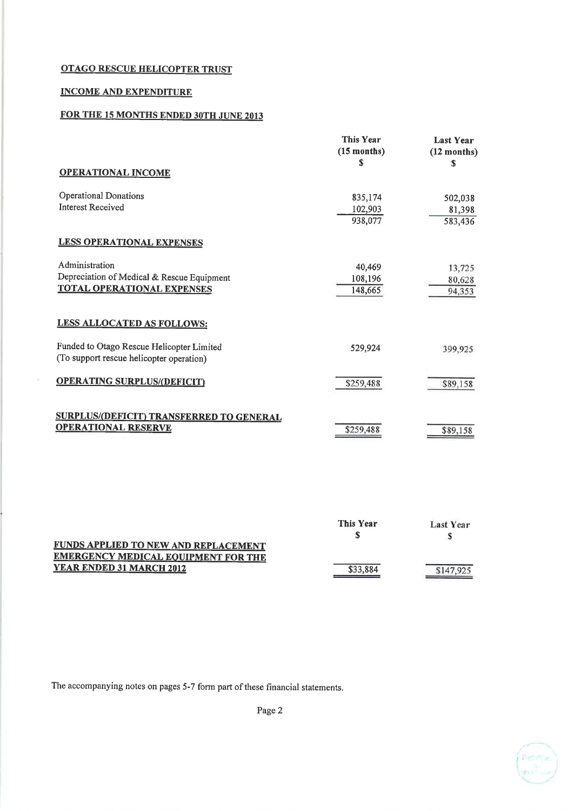# INCOME AND EXPENDITURE

YEAR ENDED 31 MARCH 2012

 $\mathbf{y}$ 

# FOR THE 15 MONTHS ENDED 30TH JUNE 2013

|                                                                                                   | <b>This Year</b><br>$(15$ months)<br>S | <b>Last Year</b><br>$(12$ months)<br>S |
|---------------------------------------------------------------------------------------------------|----------------------------------------|----------------------------------------|
| <b>OPERATIONAL INCOME</b>                                                                         |                                        |                                        |
| <b>Operational Donations</b><br><b>Interest Received</b>                                          | 835,174<br>102,903<br>938,077          | 502,038<br>81,398<br>583,436           |
| <b>LESS OPERATIONAL EXPENSES</b>                                                                  |                                        |                                        |
| Administration<br>Depreciation of Medical & Rescue Equipment<br><b>TOTAL OPERATIONAL EXPENSES</b> | 40,469<br>108,196<br>148,665           | 13,725<br>80,628<br>94,353             |
| LESS ALLOCATED AS FOLLOWS:                                                                        |                                        |                                        |
| Funded to Otago Rescue Helicopter Limited<br>(To support rescue helicopter operation)             | 529,924                                | 399,925                                |
| <b>OPERATING SURPLUS/(DEFICIT)</b>                                                                | \$259,488                              | \$89,158                               |
| <b>SURPLUS/(DEFICIT) TRANSFERRED TO GENERAL</b><br><b>OPERATIONAL RESERVE</b>                     | \$259,488                              | \$89,158                               |
| <u>FUNDS APPLIED TO NEW AND REPLACEMENT</u><br><u>EMERGENCY MEDICAL EQUIPMENT FOR THE</u>         | <b>This Year</b><br>\$                 | <b>Last Year</b><br>S                  |

The accompanying notes on pages 5-7 form part of these financial statements.

Page 2

\$33,884

\$147,925

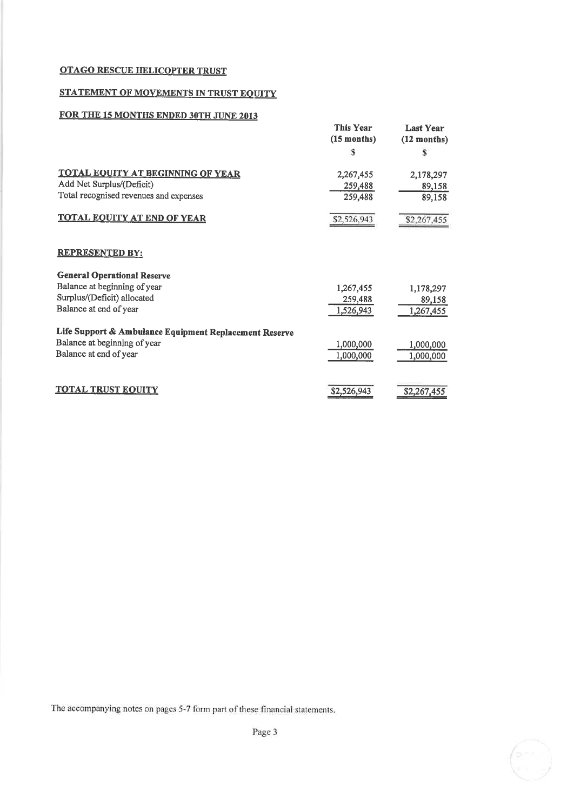# STATEMENT OF MOVEMENTS IN TRUST EQUITY

# FOR THE 15 MONTHS ENDED 30TH JUNE 2013

|                                                        | <b>This Year</b><br>$(15$ months) | <b>Last Year</b><br>$(12$ months) |
|--------------------------------------------------------|-----------------------------------|-----------------------------------|
|                                                        | S                                 | S                                 |
| <b>TOTAL EQUITY AT BEGINNING OF YEAR</b>               | 2,267,455                         | 2,178,297                         |
| Add Net Surplus/(Deficit)                              | 259,488                           | 89,158                            |
| Total recognised revenues and expenses                 | 259,488                           | 89,158                            |
| <b>TOTAL EQUITY AT END OF YEAR</b>                     | \$2,526,943                       | \$2,267,455                       |
| <b>REPRESENTED BY:</b>                                 |                                   |                                   |
| <b>General Operational Reserve</b>                     |                                   |                                   |
| Balance at beginning of year                           | 1,267,455                         | 1,178,297                         |
| Surplus/(Deficit) allocated                            | 259,488                           | 89,158                            |
| Balance at end of year                                 | 1,526,943                         | 1,267,455                         |
| Life Support & Ambulance Equipment Replacement Reserve |                                   |                                   |
| Balance at beginning of year                           | 1,000,000                         | 1,000,000                         |
| Balance at end of year                                 | 1,000,000                         | 1,000,000                         |
|                                                        |                                   |                                   |
| <b>TOTAL TRUST EQUITY</b>                              | \$2,526,943                       | \$2,267,455                       |

The accompanying notes on pages 5-7 form part of these financial statements.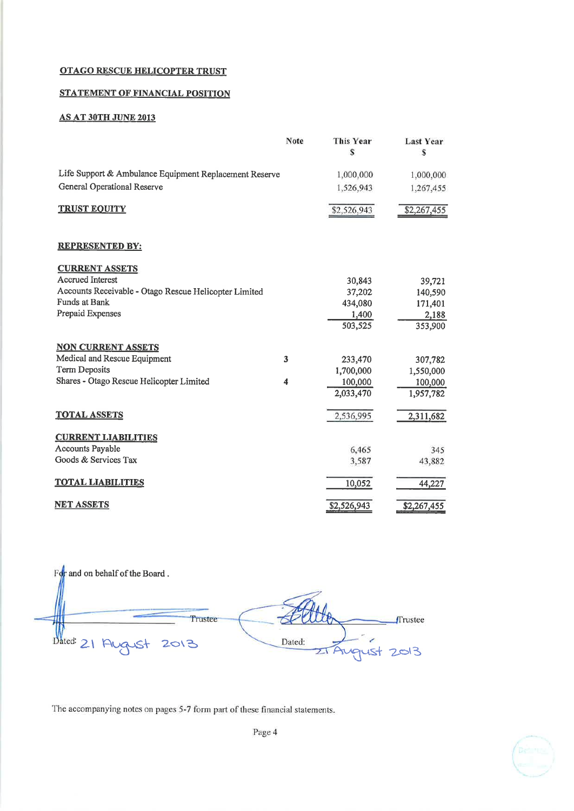# STATEMENT OF FINANCIAL POSITION

# **AS AT 30TH JUNE 2013**

|                                                        | Note | This Year<br>S | <b>Last Year</b><br>S |
|--------------------------------------------------------|------|----------------|-----------------------|
| Life Support & Ambulance Equipment Replacement Reserve |      | 1,000,000      | 1,000,000             |
| <b>General Operational Reserve</b>                     |      | 1,526,943      | 1,267,455             |
| <b>TRUST EQUITY</b>                                    |      | \$2,526,943    | \$2,267,455           |
| <b>REPRESENTED BY:</b>                                 |      |                |                       |
| <b>CURRENT ASSETS</b>                                  |      |                |                       |
| <b>Accrued Interest</b>                                |      | 30,843         | 39,721                |
| Accounts Receivable - Otago Rescue Helicopter Limited  |      | 37,202         | 140,590               |
| Funds at Bank                                          |      | 434,080        | 171,401               |
| Prepaid Expenses                                       |      | 1,400          | 2,188                 |
|                                                        |      | 503,525        | 353,900               |
| <b>NON CURRENT ASSETS</b>                              |      |                |                       |
| Medical and Rescue Equipment                           | 3    | 233,470        | 307,782               |
| <b>Term Deposits</b>                                   |      | 1,700,000      | 1,550,000             |
| Shares - Otago Rescue Helicopter Limited               | 4    | 100,000        | 100,000               |
|                                                        |      | 2,033,470      | 1,957,782             |
| <b>TOTAL ASSETS</b>                                    |      | 2,536,995      | 2,311,682             |
| <b>CURRENT LIABILITIES</b>                             |      |                |                       |
| <b>Accounts Payable</b>                                |      | 6,465          | 345                   |
| Goods & Services Tax                                   |      | 3,587          | 43,882                |
| <b>TOTAL LIABILITIES</b>                               |      | 10,052         | 44,227                |
| <u>net assets</u>                                      |      | \$2,526,943    | \$2,267,455           |

 $F\phi r$  and on behalf of the Board. Trustee Trustee Dated: 21 Aug Dated: 2013 JSt  $2013$  $\mathbf{z}$ 

The accompanying notes on pages 5-7 form part of these financial statements.

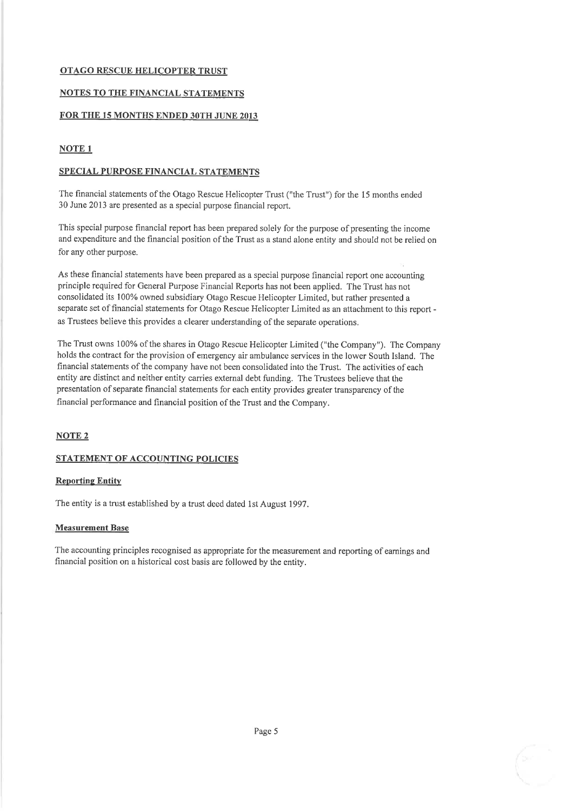# NOTES TO THE FINANCIAL STATEMENTS

#### FOR THE 15 MONTHS ENDED 30TH JUNE 2013

# NOTE 1

## SPECIAL PURPOSE FINANCIAL STATEMENTS

The financial statements of the Otago Rescue Helicopter Trust ("the Trust") for the l5 months ended 30 June 2013 are presented as a special purpose financial report.

This special purpose financial report has been prepared solely for the purpose of presenting the income and expenditure and the financial position of the Trust as a stand alone entity and should not be relied on for any other purpose.

As these financial statements have been prepared as a special purpose financial report one accounting principle required for General Purpose Financial Reports has not been applied. The Trust has not consolidated its 100% owned subsidiary Otago Rescue Helicopter Limited, but rather presented a separate set of financial statements for Otago Rescue Helicopter Limited as an attachment to this repoft as Trustees believe this provides a clearer understanding of the separate operations.

The Trust owns 100% of the shares in Otago Rescue Helicopter Limited ("the Company"). The Company holds the contract for the provision of emergency air ambulance services in the lower South Island. The financial statements of the company have not been consolidated into the Trust. The activities of each entity are distinct and neither entity carries external debt funding. The Trustees believe that the presentation of separate financial statements for each entity provides greater transparency of the financial performance and financial position of the Trust and the Company.

# NOTE 2

# STATEMENT OF ACCOUNTING POLICIES

#### **Reporting Entity**

The entity is a trust established by a trust deed dated lst August 1997.

#### Measurement Base

The accounting principles recognised as appropriate for the measurement and reporting of eamings and financial position on a historical cost basis are followed by the entity.

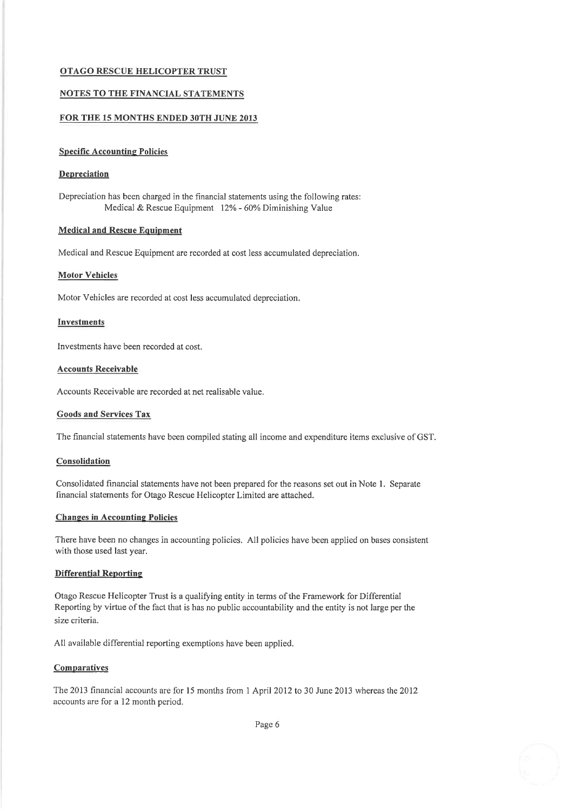#### NOTES TO THE FINANCIAL STATEMENTS

#### FOR THE 15 MONTHS ENDED 30TH JUNE 2013

#### **Specific Accounting Policies**

#### **Depreciation**

Depreciation has been charged in the financial statements using the following rates: Medical & Rescue Equipment 12% - 60% Diminishing Value

# Medical and Rescue Equipment

Medical and Rescue Equipment are recorded at cost less accumulated depreciation.

#### Motor Vehicles

Motor Vehicles are recorded at cost less accumulated depreciation.

#### Investments

Investments have been recorded at cost.

#### Accounts Receivable

Accounts Receivable are recorded at net realisable value.

#### Goods and Services Tax

The financial statements have been compiled stating all income and expenditure items exclusive of GST.

#### **Consolidation**

Consolidated financial statements have not been prepared for the reasons set out in Note 1. Separate financial statements for Otago Rescue Helicopter Limited are attached.

#### **Changes in Accounting Policies**

There have been no changes in accounting policies. All policies have been applied on bases consistent with those used last year.

#### Differential Reoortine

Otago Rescue Helicopter Trust is a qualifying entity in terms of the Framework for Differential Reporting by virtue of the fact that is has no public accountability and the entity is not large per the size criteria.

All available differential reporting exemptions have been applied.

#### **Comparatives**

The 2013 financial accounts are for 15 months from 1 April 2012 to 30 June 2013 whereas the 2012 accounts are for a 12 month period.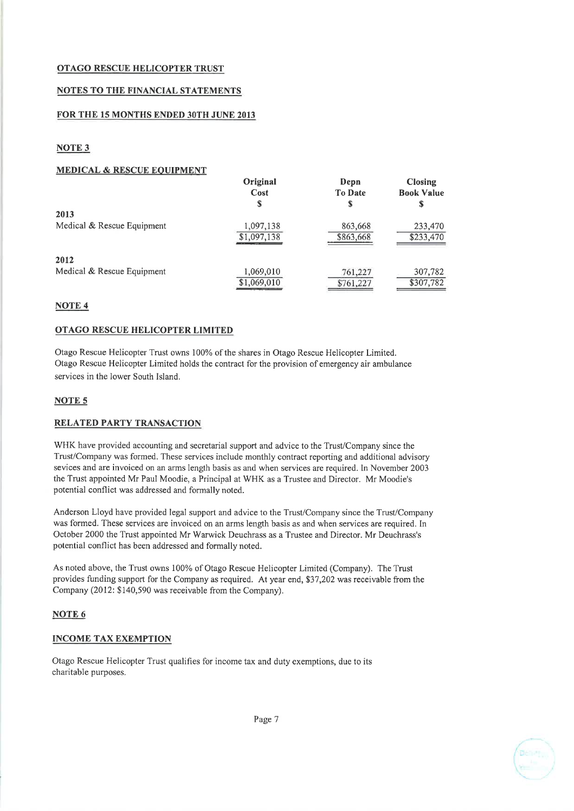## NOTES TO THE FINANCIAL STATEMENTS

#### FOR THE 15 MONTHS ENDED 30TH JUNE 2013

# NOTE 3

#### MEDICAL & RESCUE EOUIPMENT

|                            | Original<br>Cost | Depn<br><b>To Date</b> | <b>Closing</b><br><b>Book Value</b> |
|----------------------------|------------------|------------------------|-------------------------------------|
|                            | S                | S                      |                                     |
| 2013                       |                  |                        |                                     |
| Medical & Rescue Equipment | 1,097,138        | 863,668                | 233,470                             |
|                            | \$1,097,138      | \$863,668              | \$233,470                           |
| 2012                       |                  |                        |                                     |
| Medical & Rescue Equipment | 1,069,010        | 761,227                | 307,782                             |
|                            | \$1,069,010      | \$761,227              | \$307,782                           |

## NOTE 4

## OTAGO RESCUE HELICOPTER LIMITED

Otago Rescue Helicopter Trust owns 100% of the shares in Otago Rescue Helicopter Limited. Otago Rescue Helicopter Limited holds the contract for the provision of emergency air ambulance services in the lower South Island.

## NOTE 5

# RELATED PARTY TRANSACTION

WHK have provided accounting and secretarial support and advice to the Trust/Company since the Trust/Company was formed. These services include monthly contract reporting and additional advisory sevices and are invoiced on an arms length basis as and when services are required. In November 2003 the Trust appointed Mr Paul Moodie, a Principal at WHK as a Trustee and Director. Mr Moodie's potential conflict was addressed and formally noted.

Anderson Lloyd have provided legal support and advice to the Trust/Company since the Trust/Company was formed. These services are invoiced on an arms length basis as and when services are required. In October 2000 the Trust appointed Mr Warwick Deuchrass as a Trustee and Director. Mr Deuchrass's potential conflict has been addressed and formally noted.

As noted above, the Trust owns 100% of Otago Rescue Helicopter Limited (Company). The Trust provides funding support for the Company as required. At year end, \$37 ,202 was receivable from the Company (2012: \$140,590 was receivable from the Company).

# NOTE<sub>6</sub>

#### INCOME TAX EXEMPTION

Otago Rescue Helicopter Trust qualifies for income tax and duty exemptions, due to its charitable purposes.